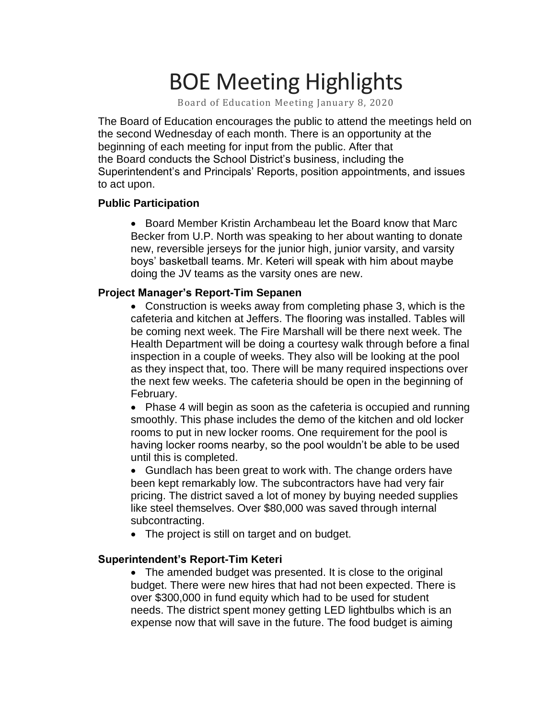# BOE Meeting Highlights

Board of Education Meeting January 8, 2020

 The Board of Education encourages the public to attend the meetings held on the second Wednesday of each month. There is an opportunity at the beginning of each meeting for input from the public. After that the Board conducts the School District's business, including the Superintendent's and Principals' Reports, position appointments, and issues to act upon.

### **Public Participation**

 • Board Member Kristin Archambeau let the Board know that Marc Becker from U.P. North was speaking to her about wanting to donate new, reversible jerseys for the junior high, junior varsity, and varsity boys' basketball teams. Mr. Keteri will speak with him about maybe doing the JV teams as the varsity ones are new.

#### **Project Manager's Report-Tim Sepanen**

 • Construction is weeks away from completing phase 3, which is the cafeteria and kitchen at Jeffers. The flooring was installed. Tables will be coming next week. The Fire Marshall will be there next week. The Health Department will be doing a courtesy walk through before a final inspection in a couple of weeks. They also will be looking at the pool as they inspect that, too. There will be many required inspections over the next few weeks. The cafeteria should be open in the beginning of February.

 • Phase 4 will begin as soon as the cafeteria is occupied and running smoothly. This phase includes the demo of the kitchen and old locker rooms to put in new locker rooms. One requirement for the pool is having locker rooms nearby, so the pool wouldn't be able to be used until this is completed.

 • Gundlach has been great to work with. The change orders have been kept remarkably low. The subcontractors have had very fair pricing. The district saved a lot of money by buying needed supplies like steel themselves. Over \$80,000 was saved through internal subcontracting.

• The project is still on target and on budget.

#### **Superintendent's Report-Tim Keteri**

• The amended budget was presented. It is close to the original budget. There were new hires that had not been expected. There is over \$300,000 in fund equity which had to be used for student needs. The district spent money getting LED lightbulbs which is an expense now that will save in the future. The food budget is aiming